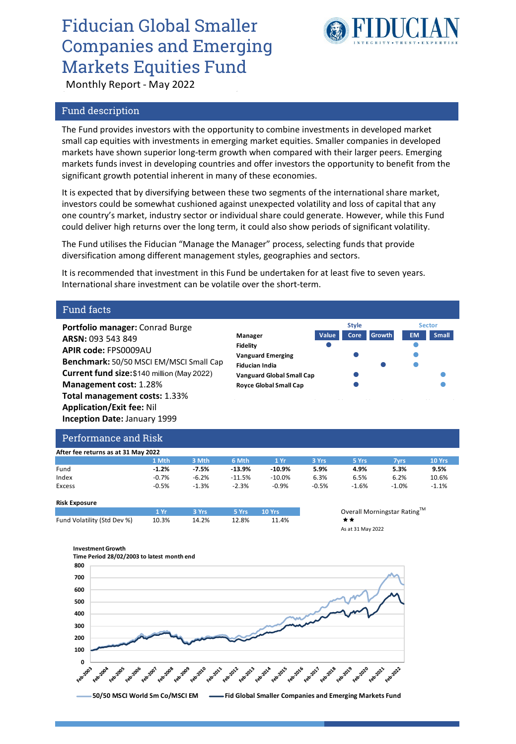# Fiducian Global Smaller Companies and Emerging Markets Equities Fund



Monthly Report - May 2022

### Fund description

The Fund provides investors with the opportunity to combine investments in developed market small cap equities with investments in emerging market equities. Smaller companies in developed markets have shown superior long-term growth when compared with their larger peers. Emerging markets funds invest in developing countries and offer investors the opportunity to benefit from the significant growth potential inherent in many of these economies.

It is expected that by diversifying between these two segments of the international share market, investors could be somewhat cushioned against unexpected volatility and loss of capital that any one country's market, industry sector or individual share could generate. However, while this Fund could deliver high returns over the long term, it could also show periods of significant volatility.

The Fund utilises the Fiducian "Manage the Manager" process, selecting funds that provide diversification among different management styles, geographies and sectors.

It is recommended that investment in this Fund be undertaken for at least five to seven years. International share investment can be volatile over the short-term.

### Fund facts

**Portfolio manager:** Conrad Burge **ARSN:** 093 543 849 **APIR code:** FPS0009AU **Benchmark:** 50/50 MSCI EM/MSCI Small Cap **Current fund size:** \$140 million (May 2022) **Management cost:** 1.28% **Total management costs:** 1.33% **Application/Exit fee:** Nil **Inception Date:** January 1999

|                                  | <b>Style</b> |      |               | <b>Sector</b> |              |
|----------------------------------|--------------|------|---------------|---------------|--------------|
| Manager                          | Value        | Core | <b>Growth</b> | <b>EM</b>     | <b>Small</b> |
| <b>Fidelity</b>                  |              |      |               |               |              |
| <b>Vanguard Emerging</b>         |              |      |               |               |              |
| <b>Fiducian India</b>            |              |      |               |               |              |
| <b>Vanguard Global Small Cap</b> |              |      |               |               |              |
| <b>Royce Global Small Cap</b>    |              |      |               |               |              |
|                                  |              |      |               |               |              |

### Performance and Risk

| After fee returns as at 31 May 2022 |         |         |          |          |         |         |             |         |
|-------------------------------------|---------|---------|----------|----------|---------|---------|-------------|---------|
|                                     | 1 Mth   | 3 Mth   | 6 Mth    | 1 Yr     | 3 Yrs   | 5 Yrs   | <b>7yrs</b> | 10 Yrs  |
| Fund                                | $-1.2%$ | $-7.5%$ | $-13.9%$ | $-10.9%$ | 5.9%    | 4.9%    | 5.3%        | 9.5%    |
| Index                               | $-0.7%$ | $-6.2%$ | $-11.5%$ | $-10.0%$ | 6.3%    | 6.5%    | 6.2%        | 10.6%   |
| Excess                              | $-0.5%$ | $-1.3%$ | $-2.3%$  | $-0.9%$  | $-0.5%$ | $-1.6%$ | $-1.0%$     | $-1.1%$ |
| <b>Risk Exposure</b>                |         |         |          |          |         |         |             |         |

|                             | 11 Vr. | — 3 Yrs ∶ | 5 Yrs 10 Yrs |       | Over |
|-----------------------------|--------|-----------|--------------|-------|------|
| Fund Volatility (Std Dev %) | 10.3%  | 14.2%     | 12.8%        | 11.4% | * *  |
|                             |        |           |              |       |      |

**1 11** *Overall Morningstar Rating*<sup>TM</sup> As at 31 May 2022